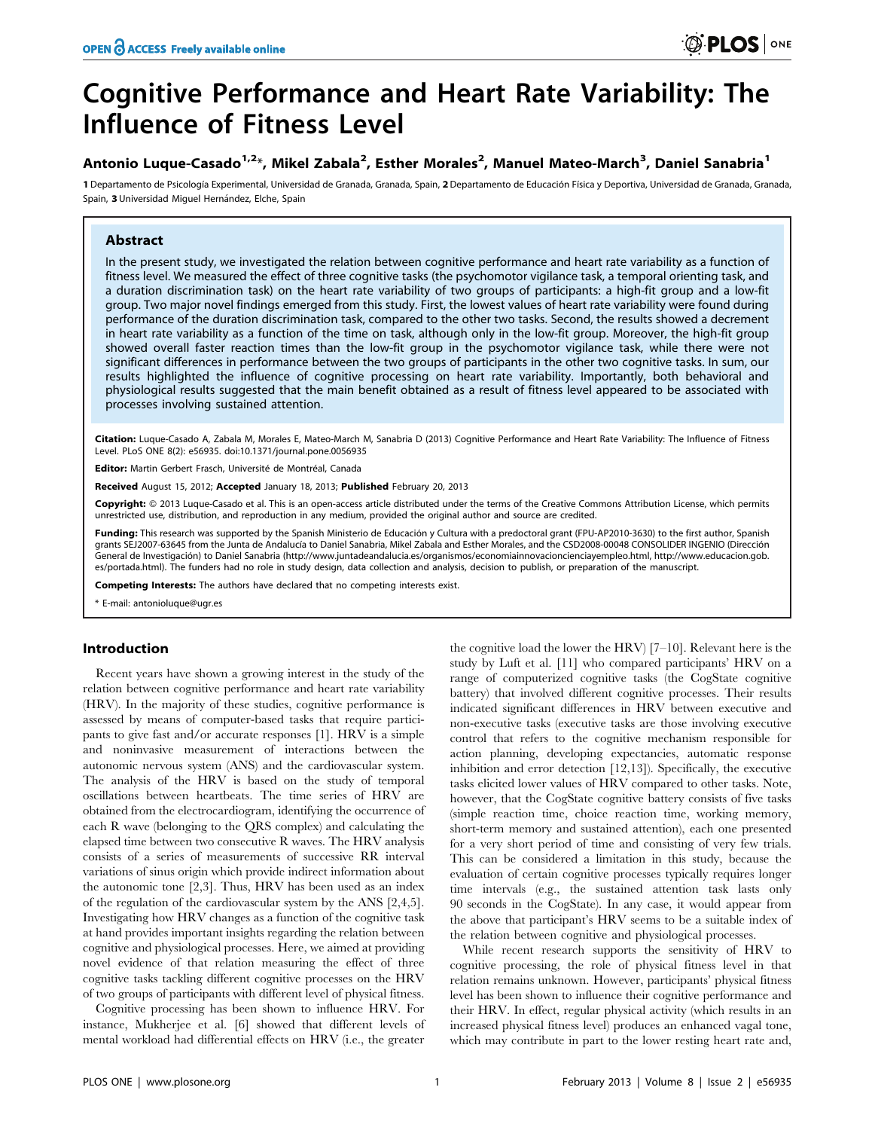# Cognitive Performance and Heart Rate Variability: The Influence of Fitness Level

## Antonio Luque-Casado<sup>1,2</sup>\*, Mikel Zabala<sup>2</sup>, Esther Morales<sup>2</sup>, Manuel Mateo-March<sup>3</sup>, Daniel Sanabria<sup>1</sup>

1 Departamento de Psicología Experimental, Universidad de Granada, Granada, Spain, 2 Departamento de Educación Física y Deportiva, Universidad de Granada, Granada, Spain, 3 Universidad Miguel Hernández, Elche, Spain

## Abstract

In the present study, we investigated the relation between cognitive performance and heart rate variability as a function of fitness level. We measured the effect of three cognitive tasks (the psychomotor vigilance task, a temporal orienting task, and a duration discrimination task) on the heart rate variability of two groups of participants: a high-fit group and a low-fit group. Two major novel findings emerged from this study. First, the lowest values of heart rate variability were found during performance of the duration discrimination task, compared to the other two tasks. Second, the results showed a decrement in heart rate variability as a function of the time on task, although only in the low-fit group. Moreover, the high-fit group showed overall faster reaction times than the low-fit group in the psychomotor vigilance task, while there were not significant differences in performance between the two groups of participants in the other two cognitive tasks. In sum, our results highlighted the influence of cognitive processing on heart rate variability. Importantly, both behavioral and physiological results suggested that the main benefit obtained as a result of fitness level appeared to be associated with processes involving sustained attention.

Citation: Luque-Casado A, Zabala M, Morales E, Mateo-March M, Sanabria D (2013) Cognitive Performance and Heart Rate Variability: The Influence of Fitness Level. PLoS ONE 8(2): e56935. doi:10.1371/journal.pone.0056935

Editor: Martin Gerbert Frasch, Université de Montréal, Canada

Received August 15, 2012; Accepted January 18, 2013; Published February 20, 2013

**Copyright:** © 2013 Luque-Casado et al. This is an open-access article distributed under the terms of the Creative Commons Attribution License, which permits unrestricted use, distribution, and reproduction in any medium, provided the original author and source are credited.

Funding: This research was supported by the Spanish Ministerio de Educación y Cultura with a predoctoral grant (FPU-AP2010-3630) to the first author, Spanish grants SEJ2007-63645 from the Junta de Andalucía to Daniel Sanabria, Mikel Zabala and Esther Morales, and the CSD2008-00048 CONSOLIDER INGENIO (Dirección General de Investigación) to Daniel Sanabria (http://www.juntadeandalucia.es/organismos/economiainnovacioncienciayempleo.html, http://www.educacion.gob. es/portada.html). The funders had no role in study design, data collection and analysis, decision to publish, or preparation of the manuscript.

Competing Interests: The authors have declared that no competing interests exist.

E-mail: antonioluque@ugr.es

#### Introduction

Recent years have shown a growing interest in the study of the relation between cognitive performance and heart rate variability (HRV). In the majority of these studies, cognitive performance is assessed by means of computer-based tasks that require participants to give fast and/or accurate responses [1]. HRV is a simple and noninvasive measurement of interactions between the autonomic nervous system (ANS) and the cardiovascular system. The analysis of the HRV is based on the study of temporal oscillations between heartbeats. The time series of HRV are obtained from the electrocardiogram, identifying the occurrence of each R wave (belonging to the QRS complex) and calculating the elapsed time between two consecutive R waves. The HRV analysis consists of a series of measurements of successive RR interval variations of sinus origin which provide indirect information about the autonomic tone [2,3]. Thus, HRV has been used as an index of the regulation of the cardiovascular system by the ANS [2,4,5]. Investigating how HRV changes as a function of the cognitive task at hand provides important insights regarding the relation between cognitive and physiological processes. Here, we aimed at providing novel evidence of that relation measuring the effect of three cognitive tasks tackling different cognitive processes on the HRV of two groups of participants with different level of physical fitness.

Cognitive processing has been shown to influence HRV. For instance, Mukherjee et al. [6] showed that different levels of mental workload had differential effects on HRV (i.e., the greater

the cognitive load the lower the HRV) [7–10]. Relevant here is the study by Luft et al. [11] who compared participants' HRV on a range of computerized cognitive tasks (the CogState cognitive battery) that involved different cognitive processes. Their results indicated significant differences in HRV between executive and non-executive tasks (executive tasks are those involving executive control that refers to the cognitive mechanism responsible for action planning, developing expectancies, automatic response inhibition and error detection [12,13]). Specifically, the executive tasks elicited lower values of HRV compared to other tasks. Note, however, that the CogState cognitive battery consists of five tasks (simple reaction time, choice reaction time, working memory, short-term memory and sustained attention), each one presented for a very short period of time and consisting of very few trials. This can be considered a limitation in this study, because the evaluation of certain cognitive processes typically requires longer time intervals (e.g., the sustained attention task lasts only 90 seconds in the CogState). In any case, it would appear from the above that participant's HRV seems to be a suitable index of the relation between cognitive and physiological processes.

While recent research supports the sensitivity of HRV to cognitive processing, the role of physical fitness level in that relation remains unknown. However, participants' physical fitness level has been shown to influence their cognitive performance and their HRV. In effect, regular physical activity (which results in an increased physical fitness level) produces an enhanced vagal tone, which may contribute in part to the lower resting heart rate and,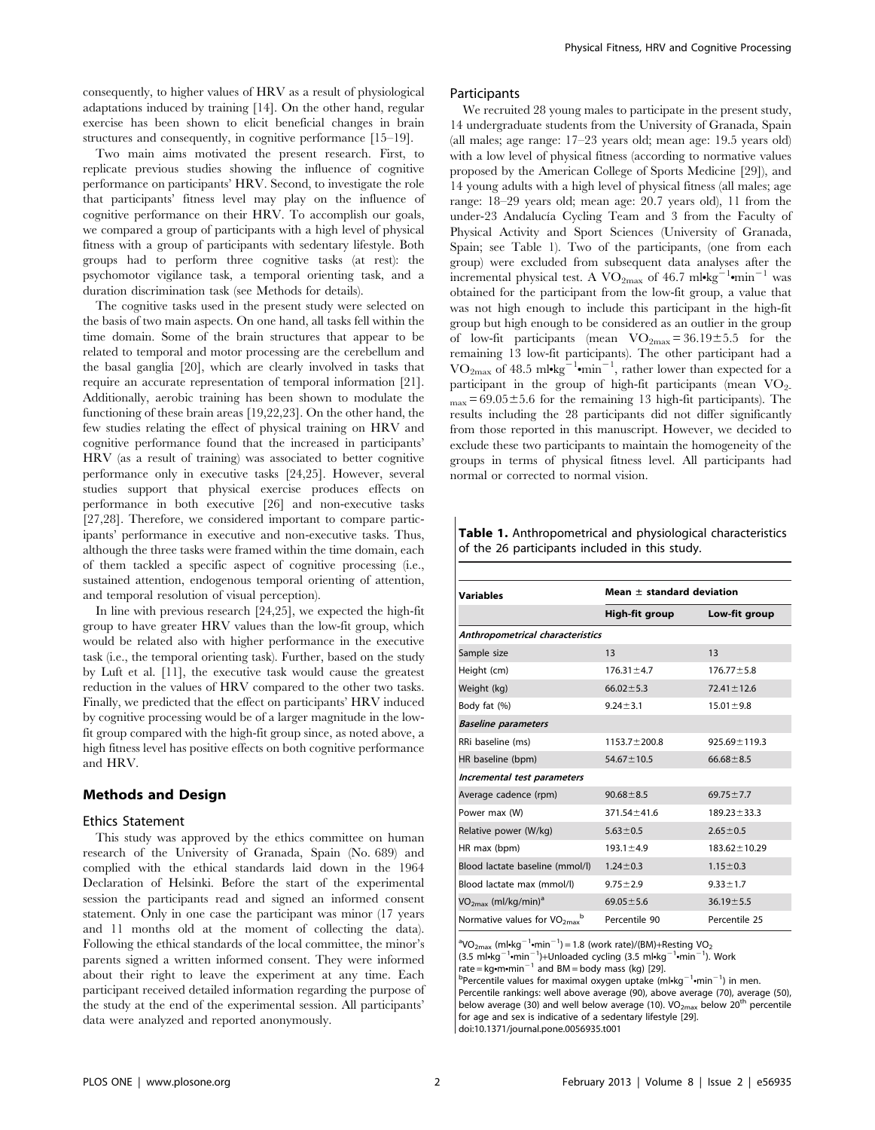consequently, to higher values of HRV as a result of physiological adaptations induced by training [14]. On the other hand, regular exercise has been shown to elicit beneficial changes in brain structures and consequently, in cognitive performance [15–19].

Two main aims motivated the present research. First, to replicate previous studies showing the influence of cognitive performance on participants' HRV. Second, to investigate the role that participants' fitness level may play on the influence of cognitive performance on their HRV. To accomplish our goals, we compared a group of participants with a high level of physical fitness with a group of participants with sedentary lifestyle. Both groups had to perform three cognitive tasks (at rest): the psychomotor vigilance task, a temporal orienting task, and a duration discrimination task (see Methods for details).

The cognitive tasks used in the present study were selected on the basis of two main aspects. On one hand, all tasks fell within the time domain. Some of the brain structures that appear to be related to temporal and motor processing are the cerebellum and the basal ganglia [20], which are clearly involved in tasks that require an accurate representation of temporal information [21]. Additionally, aerobic training has been shown to modulate the functioning of these brain areas [19,22,23]. On the other hand, the few studies relating the effect of physical training on HRV and cognitive performance found that the increased in participants' HRV (as a result of training) was associated to better cognitive performance only in executive tasks [24,25]. However, several studies support that physical exercise produces effects on performance in both executive [26] and non-executive tasks [27,28]. Therefore, we considered important to compare participants' performance in executive and non-executive tasks. Thus, although the three tasks were framed within the time domain, each of them tackled a specific aspect of cognitive processing (i.e., sustained attention, endogenous temporal orienting of attention, and temporal resolution of visual perception).

In line with previous research [24,25], we expected the high-fit group to have greater HRV values than the low-fit group, which would be related also with higher performance in the executive task (i.e., the temporal orienting task). Further, based on the study by Luft et al. [11], the executive task would cause the greatest reduction in the values of HRV compared to the other two tasks. Finally, we predicted that the effect on participants' HRV induced by cognitive processing would be of a larger magnitude in the lowfit group compared with the high-fit group since, as noted above, a high fitness level has positive effects on both cognitive performance and HRV.

## Methods and Design

#### Ethics Statement

This study was approved by the ethics committee on human research of the University of Granada, Spain (No. 689) and complied with the ethical standards laid down in the 1964 Declaration of Helsinki. Before the start of the experimental session the participants read and signed an informed consent statement. Only in one case the participant was minor (17 years and 11 months old at the moment of collecting the data). Following the ethical standards of the local committee, the minor's parents signed a written informed consent. They were informed about their right to leave the experiment at any time. Each participant received detailed information regarding the purpose of the study at the end of the experimental session. All participants' data were analyzed and reported anonymously.

#### Participants

We recruited 28 young males to participate in the present study, 14 undergraduate students from the University of Granada, Spain (all males; age range: 17–23 years old; mean age: 19.5 years old) with a low level of physical fitness (according to normative values proposed by the American College of Sports Medicine [29]), and 14 young adults with a high level of physical fitness (all males; age range: 18–29 years old; mean age: 20.7 years old), 11 from the under-23 Andalucía Cycling Team and 3 from the Faculty of Physical Activity and Sport Sciences (University of Granada, Spain; see Table 1). Two of the participants, (one from each group) were excluded from subsequent data analyses after the incremental physical test. A  $VO_{2max}$  of 46.7 ml•kg<sup>-1</sup>•min<sup>-1</sup> was obtained for the participant from the low-fit group, a value that was not high enough to include this participant in the high-fit group but high enough to be considered as an outlier in the group of low-fit participants (mean  $VO_{2max} = 36.19 \pm 5.5$  for the remaining 13 low-fit participants). The other participant had a  $VO<sub>2max</sub>$  of 48.5 ml•kg<sup>-1</sup>•min<sup>-1</sup>, rather lower than expected for a participant in the group of high-fit participants (mean  $VO<sub>2</sub>$ )  $_{\text{max}}$  = 69.05 $\pm$ 5.6 for the remaining 13 high-fit participants). The results including the 28 participants did not differ significantly from those reported in this manuscript. However, we decided to exclude these two participants to maintain the homogeneity of the groups in terms of physical fitness level. All participants had normal or corrected to normal vision.

Table 1. Anthropometrical and physiological characteristics of the 26 participants included in this study.

| <b>Variables</b>                           | Mean $\pm$ standard deviation |                    |  |  |
|--------------------------------------------|-------------------------------|--------------------|--|--|
|                                            | High-fit group                | Low-fit group      |  |  |
| Anthropometrical characteristics           |                               |                    |  |  |
| Sample size                                | 13                            | 13                 |  |  |
| Height (cm)                                | $176.31 \pm 4.7$              | $176.77 \pm 5.8$   |  |  |
| Weight (kg)                                | $66.02 \pm 5.3$               | $72.41 \pm 12.6$   |  |  |
| Body fat (%)                               | $9.24 \pm 3.1$                | $15.01 \pm 9.8$    |  |  |
| <b>Baseline parameters</b>                 |                               |                    |  |  |
| RRi baseline (ms)                          | $1153.7 \pm 200.8$            | $925.69 \pm 119.3$ |  |  |
| HR baseline (bpm)                          | $54.67 \pm 10.5$              | $66.68 \pm 8.5$    |  |  |
| Incremental test parameters                |                               |                    |  |  |
| Average cadence (rpm)                      | $90.68 \pm 8.5$               | $69.75 \pm 7.7$    |  |  |
| Power max (W)                              | $371.54 \pm 41.6$             | $189.23 \pm 33.3$  |  |  |
| Relative power (W/kg)                      | $5.63 \pm 0.5$                | $2.65 \pm 0.5$     |  |  |
| HR max (bpm)                               | $193.1 \pm 4.9$               | $183.62 \pm 10.29$ |  |  |
| Blood lactate baseline (mmol/l)            | $1.24 \pm 0.3$                | $1.15 \pm 0.3$     |  |  |
| Blood lactate max (mmol/l)                 | $9.75 \pm 2.9$                | $9.33 \pm 1.7$     |  |  |
| $VO_{2max}$ (ml/kg/min) <sup>a</sup>       | $69.05 \pm 5.6$               | $36.19 \pm 5.5$    |  |  |
| Normative values for $VO2max$ <sup>b</sup> | Percentile 90                 | Percentile 25      |  |  |

 ${}^{a}$ VO<sub>2max</sub> (ml•kg<sup>-1</sup>•min<sup>-1</sup>) = 1.8 (work rate)/(BM)+Resting VO<sub>2</sub>

 $(3.5 \text{ ml·kg}^{-1} \cdot \text{min}^{-1}) + \text{Unloaded cycling } (3.5 \text{ ml·kg}^{-1} \cdot \text{min}^{-1})$ . Work

rate = kg•m•min<sup>-1</sup> and BM = body mass (kg) [29].

'Percentile values for maximal oxygen uptake (ml•kg $^{-1}$ •min $^{-1}$ ) in men. Percentile rankings: well above average (90), above average (70), average (50), below average (30) and well below average (10). VO<sub>2max</sub> below 20<sup>th</sup> percentile for age and sex is indicative of a sedentary lifestyle [29]. doi:10.1371/journal.pone.0056935.t001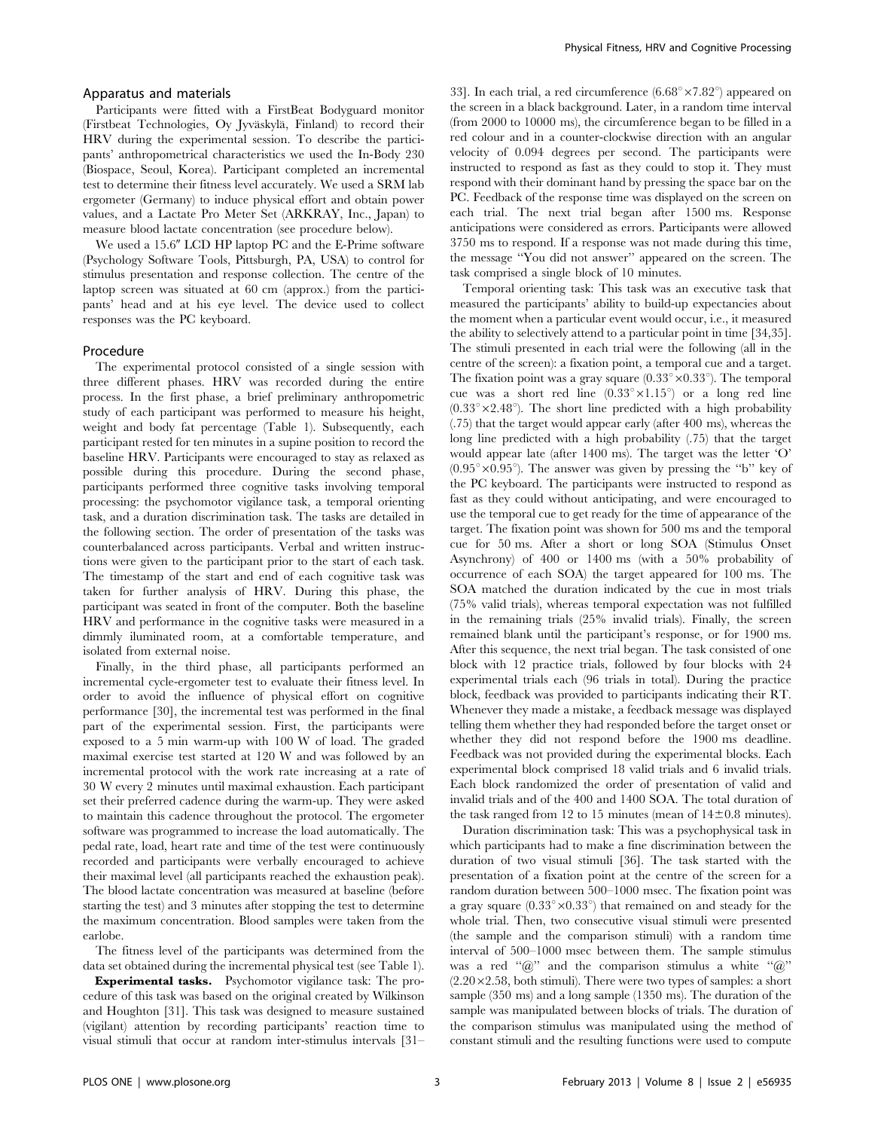#### Apparatus and materials

Participants were fitted with a FirstBeat Bodyguard monitor (Firstbeat Technologies, Oy Jyväskylä, Finland) to record their HRV during the experimental session. To describe the participants' anthropometrical characteristics we used the In-Body 230 (Biospace, Seoul, Korea). Participant completed an incremental test to determine their fitness level accurately. We used a SRM lab ergometer (Germany) to induce physical effort and obtain power values, and a Lactate Pro Meter Set (ARKRAY, Inc., Japan) to measure blood lactate concentration (see procedure below).

We used a 15.6" LCD HP laptop PC and the E-Prime software (Psychology Software Tools, Pittsburgh, PA, USA) to control for stimulus presentation and response collection. The centre of the laptop screen was situated at 60 cm (approx.) from the participants' head and at his eye level. The device used to collect responses was the PC keyboard.

#### Procedure

The experimental protocol consisted of a single session with three different phases. HRV was recorded during the entire process. In the first phase, a brief preliminary anthropometric study of each participant was performed to measure his height, weight and body fat percentage (Table 1). Subsequently, each participant rested for ten minutes in a supine position to record the baseline HRV. Participants were encouraged to stay as relaxed as possible during this procedure. During the second phase, participants performed three cognitive tasks involving temporal processing: the psychomotor vigilance task, a temporal orienting task, and a duration discrimination task. The tasks are detailed in the following section. The order of presentation of the tasks was counterbalanced across participants. Verbal and written instructions were given to the participant prior to the start of each task. The timestamp of the start and end of each cognitive task was taken for further analysis of HRV. During this phase, the participant was seated in front of the computer. Both the baseline HRV and performance in the cognitive tasks were measured in a dimmly iluminated room, at a comfortable temperature, and isolated from external noise.

Finally, in the third phase, all participants performed an incremental cycle-ergometer test to evaluate their fitness level. In order to avoid the influence of physical effort on cognitive performance [30], the incremental test was performed in the final part of the experimental session. First, the participants were exposed to a 5 min warm-up with 100 W of load. The graded maximal exercise test started at 120 W and was followed by an incremental protocol with the work rate increasing at a rate of 30 W every 2 minutes until maximal exhaustion. Each participant set their preferred cadence during the warm-up. They were asked to maintain this cadence throughout the protocol. The ergometer software was programmed to increase the load automatically. The pedal rate, load, heart rate and time of the test were continuously recorded and participants were verbally encouraged to achieve their maximal level (all participants reached the exhaustion peak). The blood lactate concentration was measured at baseline (before starting the test) and 3 minutes after stopping the test to determine the maximum concentration. Blood samples were taken from the earlobe.

The fitness level of the participants was determined from the data set obtained during the incremental physical test (see Table 1).

Experimental tasks. Psychomotor vigilance task: The procedure of this task was based on the original created by Wilkinson and Houghton [31]. This task was designed to measure sustained (vigilant) attention by recording participants' reaction time to visual stimuli that occur at random inter-stimulus intervals [31–

33]. In each trial, a red circumference  $(6.68^{\circ} \times 7.82^{\circ})$  appeared on the screen in a black background. Later, in a random time interval (from 2000 to 10000 ms), the circumference began to be filled in a red colour and in a counter-clockwise direction with an angular velocity of 0.094 degrees per second. The participants were instructed to respond as fast as they could to stop it. They must respond with their dominant hand by pressing the space bar on the PC. Feedback of the response time was displayed on the screen on each trial. The next trial began after 1500 ms. Response anticipations were considered as errors. Participants were allowed 3750 ms to respond. If a response was not made during this time, the message ''You did not answer'' appeared on the screen. The task comprised a single block of 10 minutes.

Temporal orienting task: This task was an executive task that measured the participants' ability to build-up expectancies about the moment when a particular event would occur, i.e., it measured the ability to selectively attend to a particular point in time [34,35]. The stimuli presented in each trial were the following (all in the centre of the screen): a fixation point, a temporal cue and a target. The fixation point was a gray square  $(0.33^{\circ} \times 0.33^{\circ})$ . The temporal cue was a short red line  $(0.33^{\circ} \times 1.15^{\circ})$  or a long red line  $(0.33^\circ \times 2.48^\circ)$ . The short line predicted with a high probability (.75) that the target would appear early (after 400 ms), whereas the long line predicted with a high probability (.75) that the target would appear late (after 1400 ms). The target was the letter 'O'  $(0.95^\circ \times 0.95^\circ)$ . The answer was given by pressing the "b" key of the PC keyboard. The participants were instructed to respond as fast as they could without anticipating, and were encouraged to use the temporal cue to get ready for the time of appearance of the target. The fixation point was shown for 500 ms and the temporal cue for 50 ms. After a short or long SOA (Stimulus Onset Asynchrony) of 400 or 1400 ms (with a 50% probability of occurrence of each SOA) the target appeared for 100 ms. The SOA matched the duration indicated by the cue in most trials (75% valid trials), whereas temporal expectation was not fulfilled in the remaining trials (25% invalid trials). Finally, the screen remained blank until the participant's response, or for 1900 ms. After this sequence, the next trial began. The task consisted of one block with 12 practice trials, followed by four blocks with 24 experimental trials each (96 trials in total). During the practice block, feedback was provided to participants indicating their RT. Whenever they made a mistake, a feedback message was displayed telling them whether they had responded before the target onset or whether they did not respond before the 1900 ms deadline. Feedback was not provided during the experimental blocks. Each experimental block comprised 18 valid trials and 6 invalid trials. Each block randomized the order of presentation of valid and invalid trials and of the 400 and 1400 SOA. The total duration of the task ranged from 12 to 15 minutes (mean of  $14\pm0.8$  minutes).

Duration discrimination task: This was a psychophysical task in which participants had to make a fine discrimination between the duration of two visual stimuli [36]. The task started with the presentation of a fixation point at the centre of the screen for a random duration between 500–1000 msec. The fixation point was a gray square  $(0.33^{\circ} \times 0.33^{\circ})$  that remained on and steady for the whole trial. Then, two consecutive visual stimuli were presented (the sample and the comparison stimuli) with a random time interval of 500–1000 msec between them. The sample stimulus was a red " $\hat{a}$ " and the comparison stimulus a white " $\hat{a}$ "  $(2.20 \times 2.58$ , both stimuli). There were two types of samples: a short sample (350 ms) and a long sample (1350 ms). The duration of the sample was manipulated between blocks of trials. The duration of the comparison stimulus was manipulated using the method of constant stimuli and the resulting functions were used to compute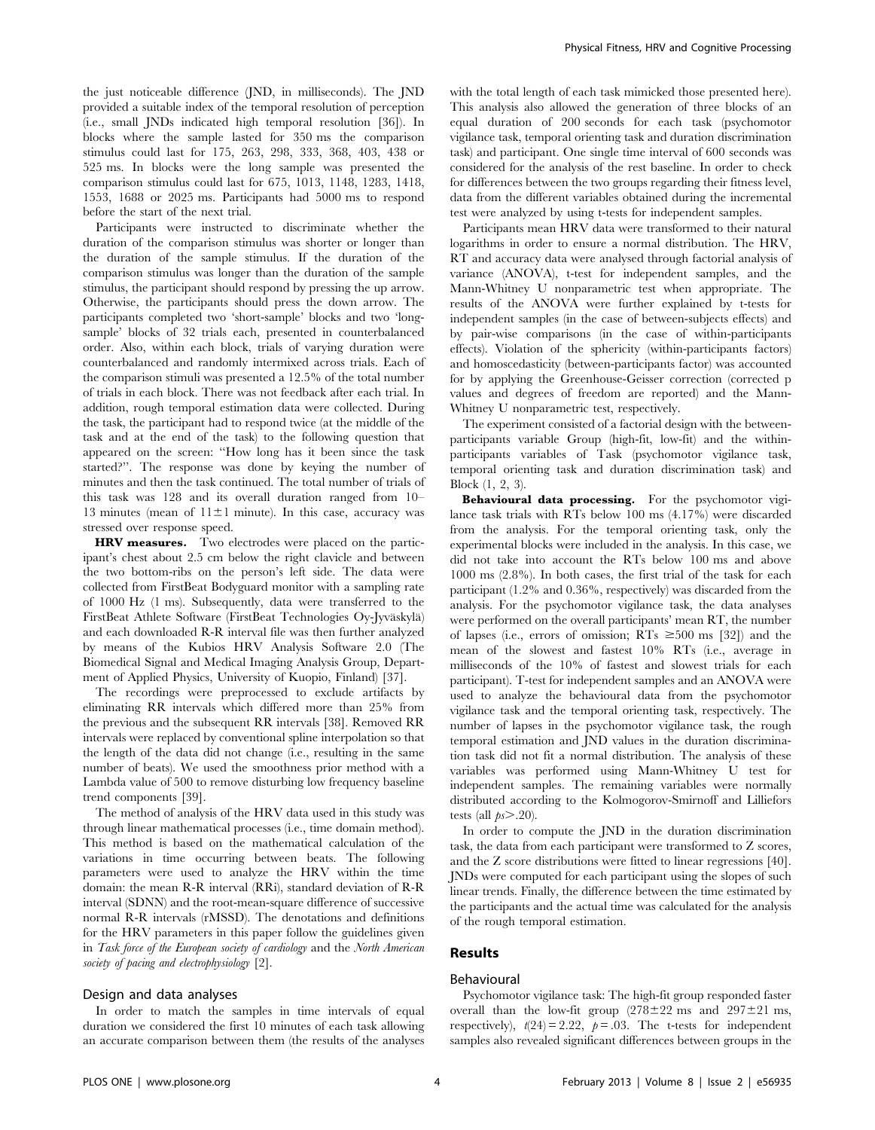the just noticeable difference (JND, in milliseconds). The JND provided a suitable index of the temporal resolution of perception (i.e., small JNDs indicated high temporal resolution [36]). In blocks where the sample lasted for 350 ms the comparison stimulus could last for 175, 263, 298, 333, 368, 403, 438 or 525 ms. In blocks were the long sample was presented the comparison stimulus could last for 675, 1013, 1148, 1283, 1418, 1553, 1688 or 2025 ms. Participants had 5000 ms to respond before the start of the next trial.

Participants were instructed to discriminate whether the duration of the comparison stimulus was shorter or longer than the duration of the sample stimulus. If the duration of the comparison stimulus was longer than the duration of the sample stimulus, the participant should respond by pressing the up arrow. Otherwise, the participants should press the down arrow. The participants completed two 'short-sample' blocks and two 'longsample' blocks of 32 trials each, presented in counterbalanced order. Also, within each block, trials of varying duration were counterbalanced and randomly intermixed across trials. Each of the comparison stimuli was presented a 12.5% of the total number of trials in each block. There was not feedback after each trial. In addition, rough temporal estimation data were collected. During the task, the participant had to respond twice (at the middle of the task and at the end of the task) to the following question that appeared on the screen: ''How long has it been since the task started?''. The response was done by keying the number of minutes and then the task continued. The total number of trials of this task was 128 and its overall duration ranged from 10– 13 minutes (mean of  $11 \pm 1$  minute). In this case, accuracy was stressed over response speed.

HRV measures. Two electrodes were placed on the participant's chest about 2.5 cm below the right clavicle and between the two bottom-ribs on the person's left side. The data were collected from FirstBeat Bodyguard monitor with a sampling rate of 1000 Hz (1 ms). Subsequently, data were transferred to the FirstBeat Athlete Software (FirstBeat Technologies Oy-Jyväskylä) and each downloaded R-R interval file was then further analyzed by means of the Kubios HRV Analysis Software 2.0 (The Biomedical Signal and Medical Imaging Analysis Group, Department of Applied Physics, University of Kuopio, Finland) [37].

The recordings were preprocessed to exclude artifacts by eliminating RR intervals which differed more than 25% from the previous and the subsequent RR intervals [38]. Removed RR intervals were replaced by conventional spline interpolation so that the length of the data did not change (i.e., resulting in the same number of beats). We used the smoothness prior method with a Lambda value of 500 to remove disturbing low frequency baseline trend components [39].

The method of analysis of the HRV data used in this study was through linear mathematical processes (i.e., time domain method). This method is based on the mathematical calculation of the variations in time occurring between beats. The following parameters were used to analyze the HRV within the time domain: the mean R-R interval (RRi), standard deviation of R-R interval (SDNN) and the root-mean-square difference of successive normal R-R intervals (rMSSD). The denotations and definitions for the HRV parameters in this paper follow the guidelines given in Task force of the European society of cardiology and the North American society of pacing and electrophysiology [2].

#### Design and data analyses

In order to match the samples in time intervals of equal duration we considered the first 10 minutes of each task allowing an accurate comparison between them (the results of the analyses

with the total length of each task mimicked those presented here). This analysis also allowed the generation of three blocks of an equal duration of 200 seconds for each task (psychomotor vigilance task, temporal orienting task and duration discrimination task) and participant. One single time interval of 600 seconds was considered for the analysis of the rest baseline. In order to check for differences between the two groups regarding their fitness level, data from the different variables obtained during the incremental test were analyzed by using t-tests for independent samples.

Participants mean HRV data were transformed to their natural logarithms in order to ensure a normal distribution. The HRV, RT and accuracy data were analysed through factorial analysis of variance (ANOVA), t-test for independent samples, and the Mann-Whitney U nonparametric test when appropriate. The results of the ANOVA were further explained by t-tests for independent samples (in the case of between-subjects effects) and by pair-wise comparisons (in the case of within-participants effects). Violation of the sphericity (within-participants factors) and homoscedasticity (between-participants factor) was accounted for by applying the Greenhouse-Geisser correction (corrected p values and degrees of freedom are reported) and the Mann-Whitney U nonparametric test, respectively.

The experiment consisted of a factorial design with the betweenparticipants variable Group (high-fit, low-fit) and the withinparticipants variables of Task (psychomotor vigilance task, temporal orienting task and duration discrimination task) and Block (1, 2, 3).

Behavioural data processing. For the psychomotor vigilance task trials with RTs below 100 ms (4.17%) were discarded from the analysis. For the temporal orienting task, only the experimental blocks were included in the analysis. In this case, we did not take into account the RTs below 100 ms and above 1000 ms (2.8%). In both cases, the first trial of the task for each participant (1.2% and 0.36%, respectively) was discarded from the analysis. For the psychomotor vigilance task, the data analyses were performed on the overall participants' mean RT, the number of lapses (i.e., errors of omission;  $RTs \ge 500$  ms [32]) and the mean of the slowest and fastest 10% RTs (i.e., average in milliseconds of the 10% of fastest and slowest trials for each participant). T-test for independent samples and an ANOVA were used to analyze the behavioural data from the psychomotor vigilance task and the temporal orienting task, respectively. The number of lapses in the psychomotor vigilance task, the rough temporal estimation and JND values in the duration discrimination task did not fit a normal distribution. The analysis of these variables was performed using Mann-Whitney U test for independent samples. The remaining variables were normally distributed according to the Kolmogorov-Smirnoff and Lilliefors tests (all  $ps > .20$ ).

In order to compute the JND in the duration discrimination task, the data from each participant were transformed to Z scores, and the Z score distributions were fitted to linear regressions [40]. JNDs were computed for each participant using the slopes of such linear trends. Finally, the difference between the time estimated by the participants and the actual time was calculated for the analysis of the rough temporal estimation.

#### Results

#### Behavioural

Psychomotor vigilance task: The high-fit group responded faster overall than the low-fit group  $(278\pm22 \text{ ms and } 297\pm21 \text{ ms})$ , respectively),  $t(24) = 2.22$ ,  $p = .03$ . The t-tests for independent samples also revealed significant differences between groups in the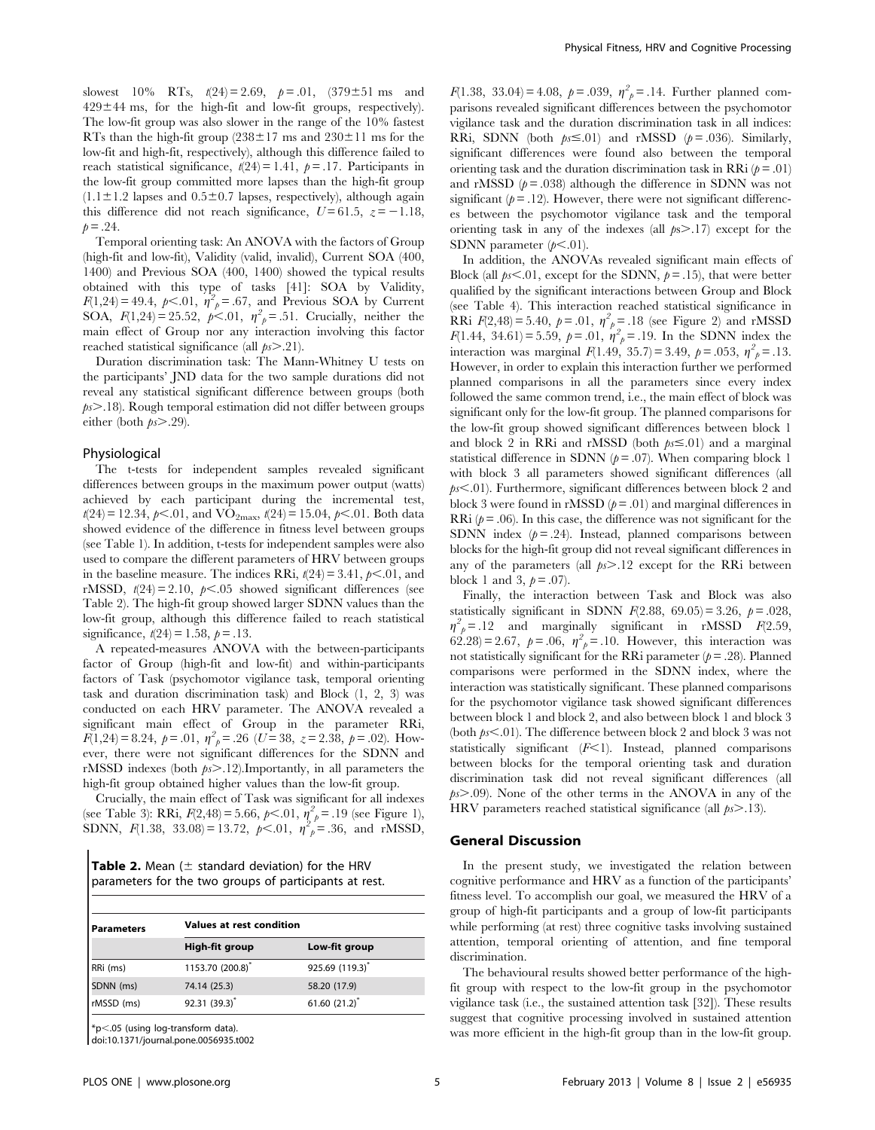slowest 10% RTs,  $t(24) = 2.69$ ,  $p = .01$ ,  $(379 \pm 51 \text{ ms}$  and  $429\pm44$  ms, for the high-fit and low-fit groups, respectively). The low-fit group was also slower in the range of the 10% fastest RTs than the high-fit group  $(238 \pm 17 \text{ ms and } 230 \pm 11 \text{ ms for the})$ low-fit and high-fit, respectively), although this difference failed to reach statistical significance,  $t(24) = 1.41$ ,  $p = .17$ . Participants in the low-fit group committed more lapses than the high-fit group  $(1.1 \pm 1.2$  lapses and  $0.5 \pm 0.7$  lapses, respectively), although again this difference did not reach significance,  $U = 61.5$ ,  $z = -1.18$ ,  $p = .24$ .

Temporal orienting task: An ANOVA with the factors of Group (high-fit and low-fit), Validity (valid, invalid), Current SOA (400, 1400) and Previous SOA (400, 1400) showed the typical results obtained with this type of tasks [41]: SOA by Validity,  $F(1,24) = 49.4, p<.01, \eta^2_{p} = .67$ , and Previous SOA by Current SOA,  $F(1,24) = 25.52$ ,  $p < 0.01$ ,  $\eta^2 = 0.51$ . Crucially, neither the main effect of Group nor any interaction involving this factor reached statistical significance (all  $ps > .21$ ).

Duration discrimination task: The Mann-Whitney U tests on the participants' JND data for the two sample durations did not reveal any statistical significant difference between groups (both  $ps$ .18). Rough temporal estimation did not differ between groups either (both  $ps > .29$ ).

#### Physiological

The t-tests for independent samples revealed significant differences between groups in the maximum power output (watts) achieved by each participant during the incremental test,  $t(24) = 12.34, p<.01, \text{ and VO}_{2\text{max}}, t(24) = 15.04, p<.01.$  Both data showed evidence of the difference in fitness level between groups (see Table 1). In addition, t-tests for independent samples were also used to compare the different parameters of HRV between groups in the baseline measure. The indices RRi,  $t(24) = 3.41$ ,  $p<.01$ , and rMSSD,  $t(24) = 2.10$ ,  $p<.05$  showed significant differences (see Table 2). The high-fit group showed larger SDNN values than the low-fit group, although this difference failed to reach statistical significance,  $t(24) = 1.58$ ,  $p = .13$ .

A repeated-measures ANOVA with the between-participants factor of Group (high-fit and low-fit) and within-participants factors of Task (psychomotor vigilance task, temporal orienting task and duration discrimination task) and Block (1, 2, 3) was conducted on each HRV parameter. The ANOVA revealed a significant main effect of Group in the parameter RRi,  $F(1,24) = 8.24, p = .01, \eta^2_{p} = .26$  ( $U = 38, z = 2.38, p = .02$ ). However, there were not significant differences for the SDNN and rMSSD indexes (both  $ps > 12$ ).Importantly, in all parameters the high-fit group obtained higher values than the low-fit group.

Crucially, the main effect of Task was significant for all indexes (see Table 3): RRi,  $F(2,48) = 5.66$ ,  $p<.01$ ,  $\eta^2_{p} = .19$  (see Figure 1), SDNN,  $F(1.38, 33.08) = 13.72, p < .01, \eta^2 = .36, \text{ and } \text{rMSSD},$ 

**Table 2.** Mean ( $\pm$  standard deviation) for the HRV parameters for the two groups of participants at rest.

| <b>Parameters</b> | Values at rest condition     |                 |  |
|-------------------|------------------------------|-----------------|--|
|                   | High-fit group               | Low-fit group   |  |
| RRi (ms)          | 1153.70 (200.8) <sup>*</sup> | 925.69 (119.3)* |  |
| SDNN (ms)         | 74.14 (25.3)                 | 58.20 (17.9)    |  |
| rMSSD (ms)        | $92.31(39.3)^{*}$            | 61.60(21.2)     |  |

 $*p<.05$  (using log-transform data).

doi:10.1371/journal.pone.0056935.t002

 $F(1.38, 33.04) = 4.08, p = .039, \eta^2 p = .14.$  Further planned comparisons revealed significant differences between the psychomotor vigilance task and the duration discrimination task in all indices: RRi, SDNN (both  $ps \le 01$ ) and rMSSD ( $p = .036$ ). Similarly, significant differences were found also between the temporal orienting task and the duration discrimination task in RRi  $(p=.01)$ and rMSSD  $(p = .038)$  although the difference in SDNN was not significant ( $p = 12$ ). However, there were not significant differences between the psychomotor vigilance task and the temporal orienting task in any of the indexes (all  $p_s > 0.17$ ) except for the SDNN parameter  $(p<.01)$ .

In addition, the ANOVAs revealed significant main effects of Block (all  $ps<.01$ , except for the SDNN,  $p = .15$ ), that were better qualified by the significant interactions between Group and Block (see Table 4). This interaction reached statistical significance in RRi  $F(2,48) = 5.40$ ,  $p = .01$ ,  $\eta^2 p = .18$  (see Figure 2) and rMSSD  $F(1.44, 34.61) = 5.59, p = .01, \eta^2_{p} = .19$ . In the SDNN index the interaction was marginal  $F(1.49, 35.7) = 3.49, p = .053, \eta^2_p = .13.$ However, in order to explain this interaction further we performed planned comparisons in all the parameters since every index followed the same common trend, i.e., the main effect of block was significant only for the low-fit group. The planned comparisons for the low-fit group showed significant differences between block 1 and block 2 in RRi and rMSSD (both  $ps \le 01$ ) and a marginal statistical difference in SDNN ( $p = .07$ ). When comparing block 1 with block 3 all parameters showed significant differences (all  $ps<.01$ ). Furthermore, significant differences between block 2 and block 3 were found in rMSSD  $(p=0.01)$  and marginal differences in RRi ( $p = .06$ ). In this case, the difference was not significant for the SDNN index  $(p= .24)$ . Instead, planned comparisons between blocks for the high-fit group did not reveal significant differences in any of the parameters (all  $ps > 12$  except for the RRi between block 1 and 3,  $p = .07$ ).

Finally, the interaction between Task and Block was also statistically significant in SDNN  $F(2.88, 69.05) = 3.26, p = .028$ ,  $\eta^2_{\ \rho}$  = .12 and marginally significant in rMSSD F(2.59, 62.28) = 2.67,  $p = .06$ ,  $\eta^2{}_p = .10$ . However, this interaction was not statistically significant for the RRi parameter ( $p = .28$ ). Planned comparisons were performed in the SDNN index, where the interaction was statistically significant. These planned comparisons for the psychomotor vigilance task showed significant differences between block 1 and block 2, and also between block 1 and block 3 (both  $ps<.01$ ). The difference between block 2 and block 3 was not statistically significant  $(F<1)$ . Instead, planned comparisons between blocks for the temporal orienting task and duration discrimination task did not reveal significant differences (all  $ps > .09$ ). None of the other terms in the ANOVA in any of the HRV parameters reached statistical significance (all  $ps > .13$ ).

## General Discussion

In the present study, we investigated the relation between cognitive performance and HRV as a function of the participants' fitness level. To accomplish our goal, we measured the HRV of a group of high-fit participants and a group of low-fit participants while performing (at rest) three cognitive tasks involving sustained attention, temporal orienting of attention, and fine temporal discrimination.

The behavioural results showed better performance of the highfit group with respect to the low-fit group in the psychomotor vigilance task (i.e., the sustained attention task [32]). These results suggest that cognitive processing involved in sustained attention was more efficient in the high-fit group than in the low-fit group.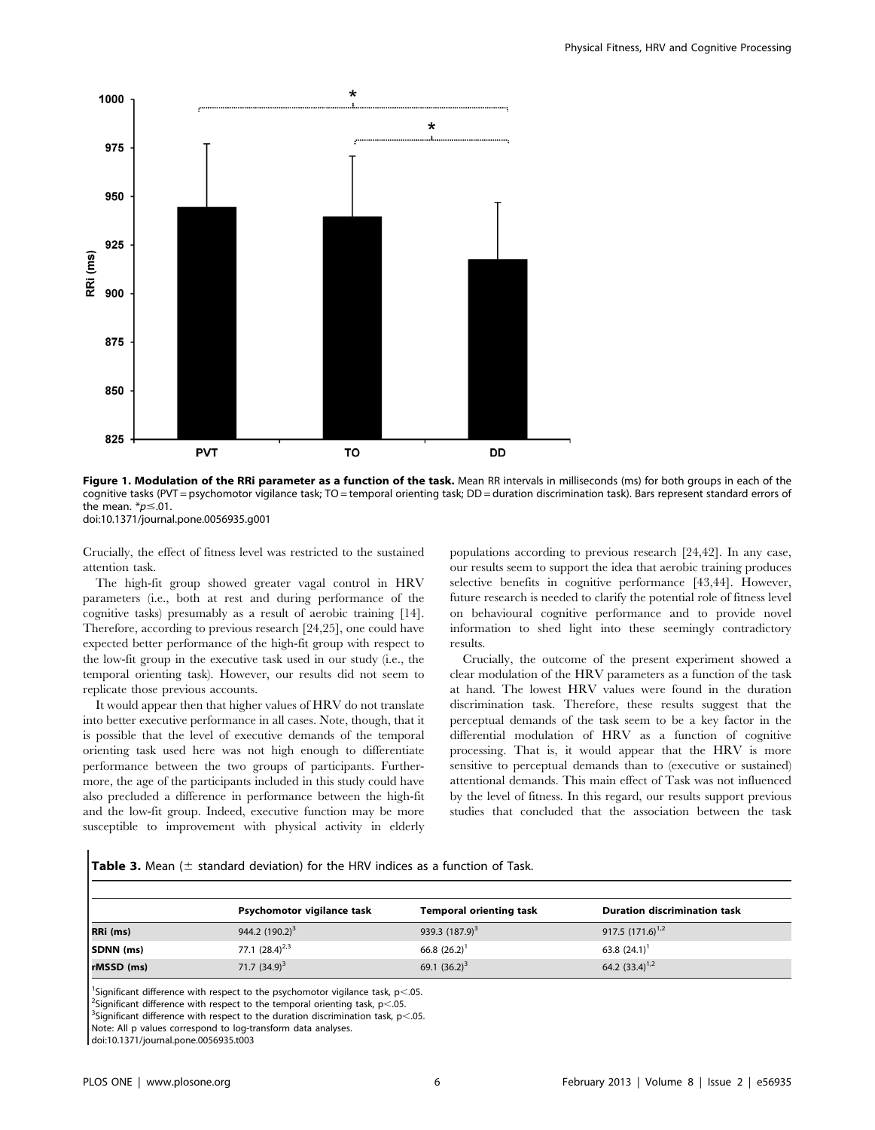

Figure 1. Modulation of the RRi parameter as a function of the task. Mean RR intervals in milliseconds (ms) for both groups in each of the cognitive tasks (PVT = psychomotor vigilance task; TO = temporal orienting task; DD = duration discrimination task). Bars represent standard errors of the mean.  $np \leq .01$ . doi:10.1371/journal.pone.0056935.g001

Crucially, the effect of fitness level was restricted to the sustained attention task.

The high-fit group showed greater vagal control in HRV parameters (i.e., both at rest and during performance of the cognitive tasks) presumably as a result of aerobic training [14]. Therefore, according to previous research [24,25], one could have expected better performance of the high-fit group with respect to the low-fit group in the executive task used in our study (i.e., the temporal orienting task). However, our results did not seem to replicate those previous accounts.

It would appear then that higher values of HRV do not translate into better executive performance in all cases. Note, though, that it is possible that the level of executive demands of the temporal orienting task used here was not high enough to differentiate performance between the two groups of participants. Furthermore, the age of the participants included in this study could have also precluded a difference in performance between the high-fit and the low-fit group. Indeed, executive function may be more susceptible to improvement with physical activity in elderly

populations according to previous research [24,42]. In any case, our results seem to support the idea that aerobic training produces selective benefits in cognitive performance [43,44]. However, future research is needed to clarify the potential role of fitness level on behavioural cognitive performance and to provide novel information to shed light into these seemingly contradictory results.

Crucially, the outcome of the present experiment showed a clear modulation of the HRV parameters as a function of the task at hand. The lowest HRV values were found in the duration discrimination task. Therefore, these results suggest that the perceptual demands of the task seem to be a key factor in the differential modulation of HRV as a function of cognitive processing. That is, it would appear that the HRV is more sensitive to perceptual demands than to (executive or sustained) attentional demands. This main effect of Task was not influenced by the level of fitness. In this regard, our results support previous studies that concluded that the association between the task

**Table 3.** Mean  $(\pm$  standard deviation) for the HRV indices as a function of Task.

|            | Psychomotor vigilance task | <b>Temporal orienting task</b> | <b>Duration discrimination task</b> |
|------------|----------------------------|--------------------------------|-------------------------------------|
| RRi (ms)   | 944.2 $(190.2)^3$          | 939.3 $(187.9)^3$              | 917.5 $(171.6)^{1,2}$               |
| SDNN (ms)  | 77.1 $(28.4)^{2,3}$        | 66.8 $(26.2)^{1}$              | 63.8 $(24.1)^1$                     |
| rMSSD (ms) | 71.7 $(34.9)^3$            | 69.1 $(36.2)^3$                | 64.2 $(33.4)^{1,2}$                 |

<sup>1</sup>Significant difference with respect to the psychomotor vigilance task,  $p < 0.05$ .<br><sup>2</sup>Significant difference with respect to the temporal orienting task  $p < 0.5$ 

<sup>2</sup>Significant difference with respect to the temporal orienting task,  $p<.05$ .

<sup>3</sup>Significant difference with respect to the duration discrimination task,  $p<.05$ .

Note: All p values correspond to log-transform data analyses.

doi:10.1371/journal.pone.0056935.t003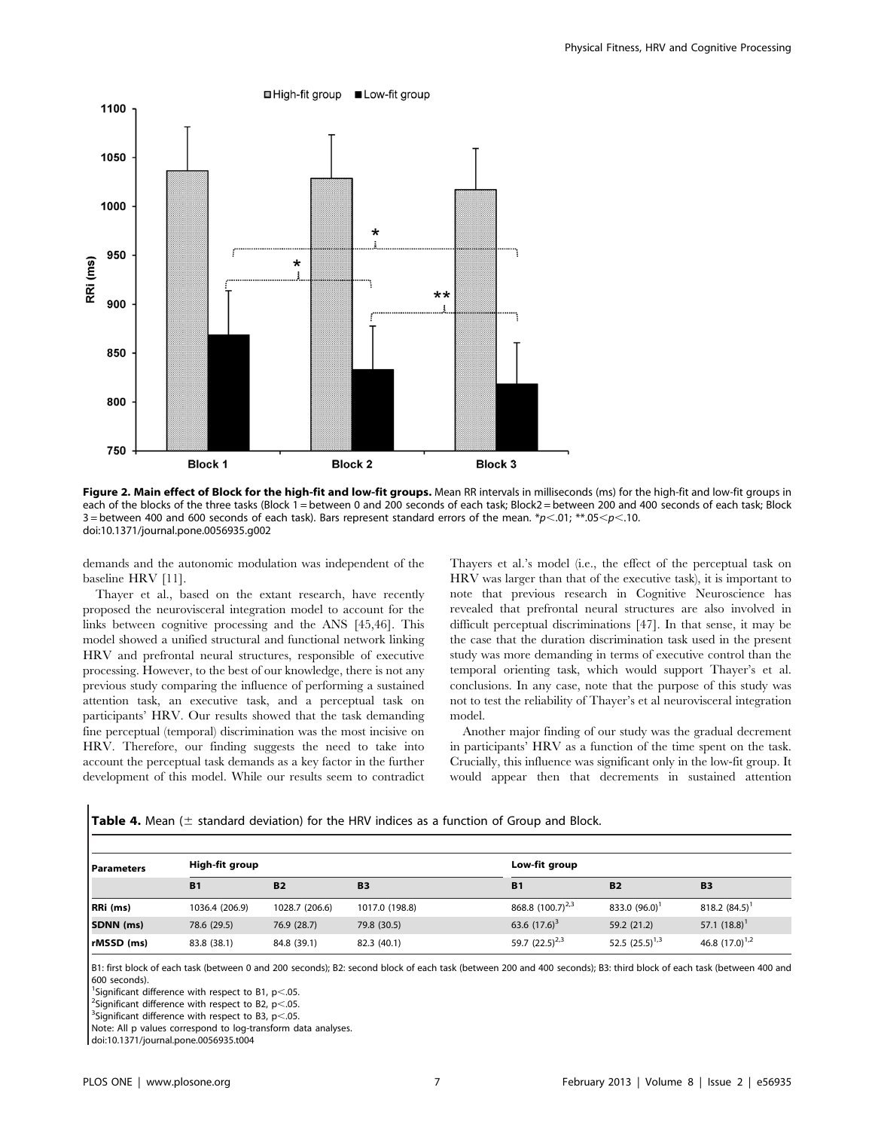

Figure 2. Main effect of Block for the high-fit and low-fit groups. Mean RR intervals in milliseconds (ms) for the high-fit and low-fit groups in each of the blocks of the three tasks (Block 1 = between 0 and 200 seconds of each task; Block2 = between 200 and 400 seconds of each task; Block 3 = between 400 and 600 seconds of each task). Bars represent standard errors of the mean. \*p $< .01$ ; \*\*.05 $< p< .10$ . doi:10.1371/journal.pone.0056935.g002

demands and the autonomic modulation was independent of the baseline HRV [11].

Thayer et al., based on the extant research, have recently proposed the neurovisceral integration model to account for the links between cognitive processing and the ANS [45,46]. This model showed a unified structural and functional network linking HRV and prefrontal neural structures, responsible of executive processing. However, to the best of our knowledge, there is not any previous study comparing the influence of performing a sustained attention task, an executive task, and a perceptual task on participants' HRV. Our results showed that the task demanding fine perceptual (temporal) discrimination was the most incisive on HRV. Therefore, our finding suggests the need to take into account the perceptual task demands as a key factor in the further development of this model. While our results seem to contradict

Thayers et al.'s model (i.e., the effect of the perceptual task on HRV was larger than that of the executive task), it is important to note that previous research in Cognitive Neuroscience has revealed that prefrontal neural structures are also involved in difficult perceptual discriminations [47]. In that sense, it may be the case that the duration discrimination task used in the present study was more demanding in terms of executive control than the temporal orienting task, which would support Thayer's et al. conclusions. In any case, note that the purpose of this study was not to test the reliability of Thayer's et al neurovisceral integration model.

Another major finding of our study was the gradual decrement in participants' HRV as a function of the time spent on the task. Crucially, this influence was significant only in the low-fit group. It would appear then that decrements in sustained attention

| <b>Parameters</b> |                | High-fit group |                |                              | Low-fit group       |                     |  |  |
|-------------------|----------------|----------------|----------------|------------------------------|---------------------|---------------------|--|--|
|                   | <b>B1</b>      | <b>B2</b>      | B <sub>3</sub> | <b>B1</b>                    | <b>B2</b>           | B <sub>3</sub>      |  |  |
| RRi (ms)          | 1036.4 (206.9) | 1028.7 (206.6) | 1017.0 (198.8) | 868.8 (100.7) <sup>2,3</sup> | $833.0 (96.0)^T$    | 818.2 $(84.5)^{1}$  |  |  |
| SDNN (ms)         | 78.6 (29.5)    | 76.9 (28.7)    | 79.8 (30.5)    | 63.6 $(17.6)^3$              | 59.2 (21.2)         | 57.1 $(18.8)^1$     |  |  |
| rMSSD (ms)        | 83.8 (38.1)    | 84.8 (39.1)    | 82.3 (40.1)    | 59.7 $(22.5)^{2,3}$          | 52.5 $(25.5)^{1,3}$ | 46.8 $(17.0)^{1.7}$ |  |  |

**Table 4.** Mean ( $\pm$  standard deviation) for the HRV indices as a function of Group and Block.

B1: first block of each task (between 0 and 200 seconds); B2: second block of each task (between 200 and 400 seconds); B3: third block of each task (between 400 and 600 seconds).

<sup>1</sup>Significant difference with respect to B1, p<.05.<sup>2</sup>Significant difference with respect to B2, p<.05.

<sup>2</sup>Significant difference with respect to B2,  $p<.05$ .

<sup>3</sup>Significant difference with respect to B3,  $p<$ .05.

Note: All p values correspond to log-transform data analyses.

doi:10.1371/journal.pone.0056935.t004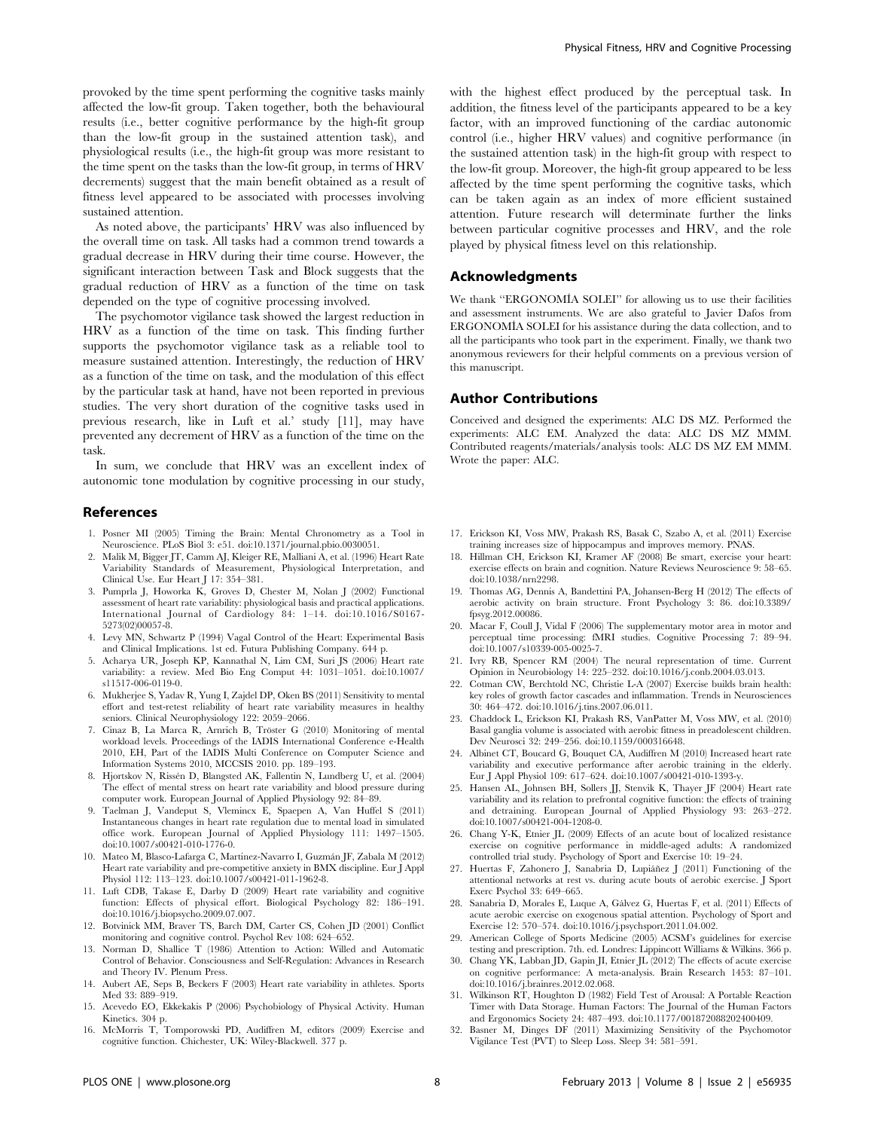provoked by the time spent performing the cognitive tasks mainly affected the low-fit group. Taken together, both the behavioural results (i.e., better cognitive performance by the high-fit group than the low-fit group in the sustained attention task), and physiological results (i.e., the high-fit group was more resistant to the time spent on the tasks than the low-fit group, in terms of HRV decrements) suggest that the main benefit obtained as a result of fitness level appeared to be associated with processes involving sustained attention.

As noted above, the participants' HRV was also influenced by the overall time on task. All tasks had a common trend towards a gradual decrease in HRV during their time course. However, the significant interaction between Task and Block suggests that the gradual reduction of HRV as a function of the time on task depended on the type of cognitive processing involved.

The psychomotor vigilance task showed the largest reduction in HRV as a function of the time on task. This finding further supports the psychomotor vigilance task as a reliable tool to measure sustained attention. Interestingly, the reduction of HRV as a function of the time on task, and the modulation of this effect by the particular task at hand, have not been reported in previous studies. The very short duration of the cognitive tasks used in previous research, like in Luft et al.' study [11], may have prevented any decrement of HRV as a function of the time on the task.

In sum, we conclude that HRV was an excellent index of autonomic tone modulation by cognitive processing in our study,

#### References

- 1. Posner MI (2005) Timing the Brain: Mental Chronometry as a Tool in Neuroscience. PLoS Biol 3: e51. doi:10.1371/journal.pbio.0030051.
- 2. Malik M, Bigger JT, Camm AJ, Kleiger RE, Malliani A, et al. (1996) Heart Rate Variability Standards of Measurement, Physiological Interpretation, and Clinical Use. Eur Heart J 17: 354–381.
- 3. Pumprla J, Howorka K, Groves D, Chester M, Nolan J (2002) Functional assessment of heart rate variability: physiological basis and practical applications. International Journal of Cardiology 84: 1–14. doi:10.1016/S0167- 5273(02)00057-8.
- 4. Levy MN, Schwartz P (1994) Vagal Control of the Heart: Experimental Basis and Clinical Implications. 1st ed. Futura Publishing Company. 644 p.
- 5. Acharya UR, Joseph KP, Kannathal N, Lim CM, Suri JS (2006) Heart rate variability: a review. Med Bio Eng Comput 44: 1031–1051. doi:10.1007/ s11517-006-0119-0.
- 6. Mukherjee S, Yadav R, Yung I, Zajdel DP, Oken BS (2011) Sensitivity to mental effort and test-retest reliability of heart rate variability measures in healthy seniors. Clinical Neurophysiology 122: 2059–2066.
- 7. Cinaz B, La Marca R, Arnrich B, Tröster G (2010) Monitoring of mental workload levels. Proceedings of the IADIS International Conference e-Health 2010, EH, Part of the IADIS Multi Conference on Computer Science and Information Systems 2010, MCCSIS 2010. pp. 189–193.
- 8. Hjortskov N, Rissén D, Blangsted AK, Fallentin N, Lundberg U, et al. (2004) The effect of mental stress on heart rate variability and blood pressure during computer work. European Journal of Applied Physiology 92: 84–89.
- 9. Taelman J, Vandeput S, Vlemincx E, Spaepen A, Van Huffel S (2011) Instantaneous changes in heart rate regulation due to mental load in simulated office work. European Journal of Applied Physiology 111: 1497–1505. doi:10.1007/s00421-010-1776-0.
- 10. Mateo M, Blasco-Lafarga C, Martínez-Navarro I, Guzmán JF, Zabala M (2012) Heart rate variability and pre-competitive anxiety in BMX discipline. Eur J Appl Physiol 112: 113–123. doi:10.1007/s00421-011-1962-8.
- 11. Luft CDB, Takase E, Darby D (2009) Heart rate variability and cognitive function: Effects of physical effort. Biological Psychology 82: 186–191. doi:10.1016/j.biopsycho.2009.07.007.
- 12. Botvinick MM, Braver TS, Barch DM, Carter CS, Cohen JD (2001) Conflict monitoring and cognitive control. Psychol Rev 108: 624–652.
- 13. Norman D, Shallice T (1986) Attention to Action: Willed and Automatic Control of Behavior. Consciousness and Self-Regulation: Advances in Research and Theory IV. Plenum Press.
- 14. Aubert AE, Seps B, Beckers F (2003) Heart rate variability in athletes. Sports Med 33: 889-919.
- 15. Acevedo EO, Ekkekakis P (2006) Psychobiology of Physical Activity. Human Kinetics. 304 p.
- 16. McMorris T, Tomporowski PD, Audiffren M, editors (2009) Exercise and cognitive function. Chichester, UK: Wiley-Blackwell. 377 p.

with the highest effect produced by the perceptual task. In addition, the fitness level of the participants appeared to be a key factor, with an improved functioning of the cardiac autonomic control (i.e., higher HRV values) and cognitive performance (in the sustained attention task) in the high-fit group with respect to the low-fit group. Moreover, the high-fit group appeared to be less affected by the time spent performing the cognitive tasks, which can be taken again as an index of more efficient sustained attention. Future research will determinate further the links between particular cognitive processes and HRV, and the role played by physical fitness level on this relationship.

## Acknowledgments

We thank "ERGONOMÍA SOLEI" for allowing us to use their facilities and assessment instruments. We are also grateful to Javier Dafos from ERGONOMÍA SOLEI for his assistance during the data collection, and to all the participants who took part in the experiment. Finally, we thank two anonymous reviewers for their helpful comments on a previous version of this manuscript.

#### Author Contributions

Conceived and designed the experiments: ALC DS MZ. Performed the experiments: ALC EM. Analyzed the data: ALC DS MZ MMM. Contributed reagents/materials/analysis tools: ALC DS MZ EM MMM. Wrote the paper: ALC.

- 17. Erickson KI, Voss MW, Prakash RS, Basak C, Szabo A, et al. (2011) Exercise training increases size of hippocampus and improves memory. PNAS.
- 18. Hillman CH, Erickson KI, Kramer AF (2008) Be smart, exercise your heart: exercise effects on brain and cognition. Nature Reviews Neuroscience 9: 58–65. doi:10.1038/nrn2298.
- 19. Thomas AG, Dennis A, Bandettini PA, Johansen-Berg H (2012) The effects of aerobic activity on brain structure. Front Psychology 3: 86. doi:10.3389/ fpsyg.2012.00086.
- 20. Macar F, Coull J, Vidal F (2006) The supplementary motor area in motor and perceptual time processing: fMRI studies. Cognitive Processing 7: 89–94. doi:10.1007/s10339-005-0025-7.
- 21. Ivry RB, Spencer RM (2004) The neural representation of time. Current Opinion in Neurobiology 14: 225–232. doi:10.1016/j.conb.2004.03.013.
- 22. Cotman CW, Berchtold NC, Christie L-A (2007) Exercise builds brain health: key roles of growth factor cascades and inflammation. Trends in Neurosciences 30: 464–472. doi:10.1016/j.tins.2007.06.011.
- 23. Chaddock L, Erickson KI, Prakash RS, VanPatter M, Voss MW, et al. (2010) Basal ganglia volume is associated with aerobic fitness in preadolescent children. Dev Neurosci 32: 249–256. doi:10.1159/000316648.
- 24. Albinet CT, Boucard G, Bouquet CA, Audiffren M (2010) Increased heart rate variability and executive performance after aerobic training in the elderly. Eur J Appl Physiol 109: 617–624. doi:10.1007/s00421-010-1393-y.
- 25. Hansen AL, Johnsen BH, Sollers JJ, Stenvik K, Thayer JF (2004) Heart rate variability and its relation to prefrontal cognitive function: the effects of training and detraining. European Journal of Applied Physiology 93: 263–272. doi:10.1007/s00421-004-1208-0.
- 26. Chang Y-K, Etnier JL (2009) Effects of an acute bout of localized resistance exercise on cognitive performance in middle-aged adults: A randomized controlled trial study. Psychology of Sport and Exercise 10: 19–24.
- 27. Huertas F, Zahonero J, Sanabria D, Lupiáñez J (2011) Functioning of the attentional networks at rest vs. during acute bouts of aerobic exercise. J Sport Exerc Psychol 33: 649–665.
- 28. Sanabria D, Morales E, Luque A, Gálvez G, Huertas F, et al. (2011) Effects of acute aerobic exercise on exogenous spatial attention. Psychology of Sport and Exercise 12: 570–574. doi:10.1016/j.psychsport.2011.04.002.
- 29. American College of Sports Medicine (2005) ACSM's guidelines for exercise testing and prescription. 7th. ed. Londres: Lippincott Williams & Wilkins. 366 p.
- 30. Chang YK, Labban JD, Gapin JI, Etnier JL (2012) The effects of acute exercise on cognitive performance: A meta-analysis. Brain Research 1453: 87–101. doi:10.1016/j.brainres.2012.02.068.
- 31. Wilkinson RT, Houghton D (1982) Field Test of Arousal: A Portable Reaction Timer with Data Storage. Human Factors: The Journal of the Human Factors and Ergonomics Society 24: 487–493. doi:10.1177/001872088202400409.
- 32. Basner M, Dinges DF (2011) Maximizing Sensitivity of the Psychomotor Vigilance Test (PVT) to Sleep Loss. Sleep 34: 581–591.